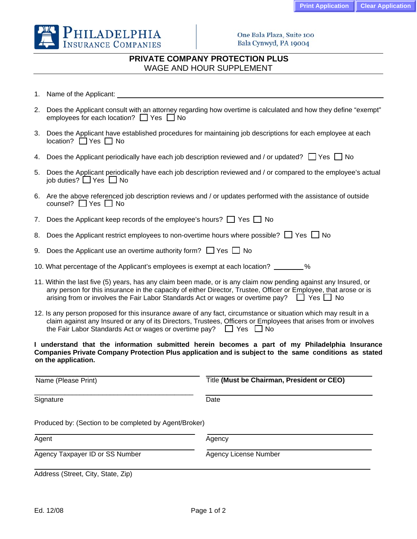

One Bala Plaza, Suite 100 Bala Cynwyd, PA 19004

## **PRIVATE COMPANY PROTECTION PLUS** WAGE AND HOUR SUPPLEMENT

1. Name of the Applicant:

|                                                                                                                                                                                                                                                                                                                                              | 2. Does the Applicant consult with an attorney regarding how overtime is calculated and how they define "exempt"<br>employees for each location? $\Box$ Yes $\Box$ No |                                            |
|----------------------------------------------------------------------------------------------------------------------------------------------------------------------------------------------------------------------------------------------------------------------------------------------------------------------------------------------|-----------------------------------------------------------------------------------------------------------------------------------------------------------------------|--------------------------------------------|
|                                                                                                                                                                                                                                                                                                                                              | 3. Does the Applicant have established procedures for maintaining job descriptions for each employee at each<br>$location?$ $\Box$ Yes $\Box$ No                      |                                            |
|                                                                                                                                                                                                                                                                                                                                              | 4. Does the Applicant periodically have each job description reviewed and / or updated? $\Box$ Yes $\Box$ No                                                          |                                            |
|                                                                                                                                                                                                                                                                                                                                              | 5. Does the Applicant periodically have each job description reviewed and / or compared to the employee's actual<br>job duties? $\Box$ Yes $\Box$ No                  |                                            |
|                                                                                                                                                                                                                                                                                                                                              | 6. Are the above referenced job description reviews and / or updates performed with the assistance of outside<br>counsel? $\Box$ Yes $\Box$ No                        |                                            |
|                                                                                                                                                                                                                                                                                                                                              | 7. Does the Applicant keep records of the employee's hours? $\Box$ Yes $\Box$ No                                                                                      |                                            |
|                                                                                                                                                                                                                                                                                                                                              | 8. Does the Applicant restrict employees to non-overtime hours where possible? $\Box$ Yes $\Box$ No                                                                   |                                            |
|                                                                                                                                                                                                                                                                                                                                              | 9. Does the Applicant use an overtime authority form? $\Box$ Yes $\Box$ No                                                                                            |                                            |
| 10. What percentage of the Applicant's employees is exempt at each location? ________ %                                                                                                                                                                                                                                                      |                                                                                                                                                                       |                                            |
| 11. Within the last five (5) years, has any claim been made, or is any claim now pending against any Insured, or<br>any person for this insurance in the capacity of either Director, Trustee, Officer or Employee, that arose or is<br>arising from or involves the Fair Labor Standards Act or wages or overtime pay? $\Box$ Yes $\Box$ No |                                                                                                                                                                       |                                            |
| 12. Is any person proposed for this insurance aware of any fact, circumstance or situation which may result in a<br>claim against any Insured or any of its Directors, Trustees, Officers or Employees that arises from or involves<br>the Fair Labor Standards Act or wages or overtime pay? $\Box$ Yes $\Box$ No                           |                                                                                                                                                                       |                                            |
| I understand that the information submitted herein becomes a part of my Philadelphia Insurance<br>Companies Private Company Protection Plus application and is subject to the same conditions as stated<br>on the application.                                                                                                               |                                                                                                                                                                       |                                            |
| Name (Please Print)                                                                                                                                                                                                                                                                                                                          |                                                                                                                                                                       | Title (Must be Chairman, President or CEO) |
| Signature                                                                                                                                                                                                                                                                                                                                    |                                                                                                                                                                       | Date                                       |
| Produced by: (Section to be completed by Agent/Broker)                                                                                                                                                                                                                                                                                       |                                                                                                                                                                       |                                            |
| Agent                                                                                                                                                                                                                                                                                                                                        |                                                                                                                                                                       | Agency                                     |
| Agency Taxpayer ID or SS Number                                                                                                                                                                                                                                                                                                              |                                                                                                                                                                       | <b>Agency License Number</b>               |
| Address (Street, City, State, Zip)                                                                                                                                                                                                                                                                                                           |                                                                                                                                                                       |                                            |